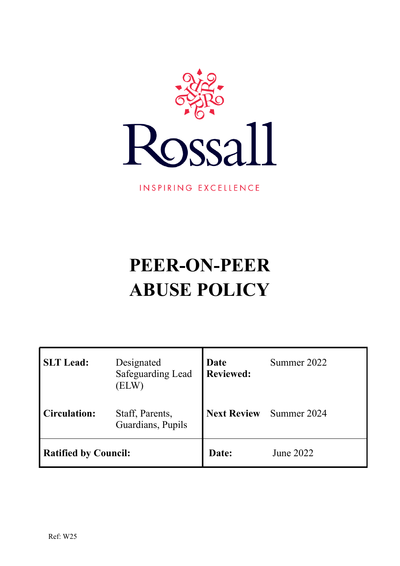

INSPIRING EXCELLENCE

# **PEER-ON-PEER ABUSE POLICY**

| <b>SLT</b> Lead:            | Designated<br><b>Safeguarding Lead</b><br>(ELW) | Date<br><b>Reviewed:</b> | Summer 2022 |  |
|-----------------------------|-------------------------------------------------|--------------------------|-------------|--|
| Circulation:                | Staff, Parents,<br>Guardians, Pupils            | <b>Next Review</b>       | Summer 2024 |  |
| <b>Ratified by Council:</b> |                                                 | Date:                    | June 2022   |  |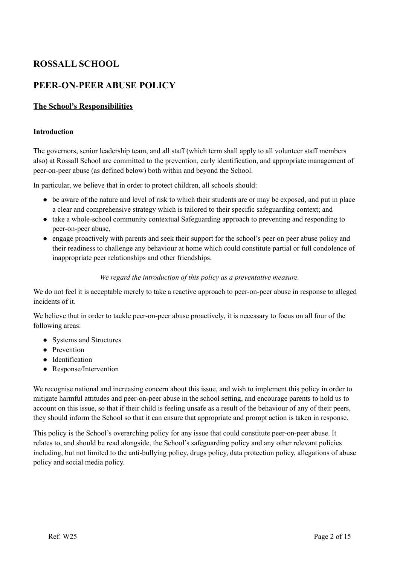# **ROSSALL SCHOOL**

# **PEER-ON-PEER ABUSE POLICY**

# **The School's Responsibilities**

#### **Introduction**

The governors, senior leadership team, and all staff (which term shall apply to all volunteer staff members also) at Rossall School are committed to the prevention, early identification, and appropriate management of peer-on-peer abuse (as defined below) both within and beyond the School.

In particular, we believe that in order to protect children, all schools should:

- be aware of the nature and level of risk to which their students are or may be exposed, and put in place a clear and comprehensive strategy which is tailored to their specific safeguarding context; and
- take a whole-school community contextual Safeguarding approach to preventing and responding to peer-on-peer abuse,
- engage proactively with parents and seek their support for the school's peer on peer abuse policy and their readiness to challenge any behaviour at home which could constitute partial or full condolence of inappropriate peer relationships and other friendships.

#### *We regard the introduction of this policy as a preventative measure.*

We do not feel it is acceptable merely to take a reactive approach to peer-on-peer abuse in response to alleged incidents of it.

We believe that in order to tackle peer-on-peer abuse proactively, it is necessary to focus on all four of the following areas:

- Systems and Structures
- Prevention
- Identification
- Response/Intervention

We recognise national and increasing concern about this issue, and wish to implement this policy in order to mitigate harmful attitudes and peer-on-peer abuse in the school setting, and encourage parents to hold us to account on this issue, so that if their child is feeling unsafe as a result of the behaviour of any of their peers, they should inform the School so that it can ensure that appropriate and prompt action is taken in response.

This policy is the School's overarching policy for any issue that could constitute peer-on-peer abuse. It relates to, and should be read alongside, the School's safeguarding policy and any other relevant policies including, but not limited to the anti-bullying policy, drugs policy, data protection policy, allegations of abuse policy and social media policy.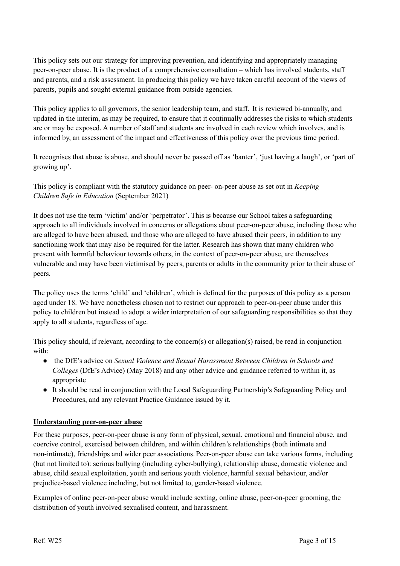This policy sets out our strategy for improving prevention, and identifying and appropriately managing peer-on-peer abuse. It is the product of a comprehensive consultation – which has involved students, staff and parents, and a risk assessment. In producing this policy we have taken careful account of the views of parents, pupils and sought external guidance from outside agencies.

This policy applies to all governors, the senior leadership team, and staff. It is reviewed bi-annually, and updated in the interim, as may be required, to ensure that it continually addresses the risks to which students are or may be exposed. A number of staff and students are involved in each review which involves, and is informed by, an assessment of the impact and effectiveness of this policy over the previous time period.

It recognises that abuse is abuse, and should never be passed off as 'banter', 'just having a laugh', or 'part of growing up'.

This policy is compliant with the statutory guidance on peer- on-peer abuse as set out in *Keeping Children Safe in Education* (September 2021)

It does not use the term 'victim' and/or 'perpetrator'. This is because our School takes a safeguarding approach to all individuals involved in concerns or allegations about peer-on-peer abuse, including those who are alleged to have been abused, and those who are alleged to have abused their peers, in addition to any sanctioning work that may also be required for the latter. Research has shown that many children who present with harmful behaviour towards others, in the context of peer-on-peer abuse, are themselves vulnerable and may have been victimised by peers, parents or adults in the community prior to their abuse of peers.

The policy uses the terms 'child' and 'children', which is defined for the purposes of this policy as a person aged under 18. We have nonetheless chosen not to restrict our approach to peer-on-peer abuse under this policy to children but instead to adopt a wider interpretation of our safeguarding responsibilities so that they apply to all students, regardless of age.

This policy should, if relevant, according to the concern(s) or allegation(s) raised, be read in conjunction with:

- the DfE's advice on *Sexual Violence and Sexual Harassment Between Children in Schools and Colleges* (DfE's Advice) (May 2018) and any other advice and guidance referred to within it, as appropriate
- It should be read in conjunction with the Local Safeguarding Partnership's Safeguarding Policy and Procedures, and any relevant Practice Guidance issued by it.

#### **Understanding peer-on-peer abuse**

For these purposes, peer-on-peer abuse is any form of physical, sexual, emotional and financial abuse, and coercive control, exercised between children, and within children's relationships (both intimate and non-intimate), friendships and wider peer associations. Peer-on-peer abuse can take various forms, including (but not limited to): serious bullying (including cyber-bullying), relationship abuse, domestic violence and abuse, child sexual exploitation, youth and serious youth violence, harmful sexual behaviour, and/or prejudice-based violence including, but not limited to, gender-based violence.

Examples of online peer-on-peer abuse would include sexting, online abuse, peer-on-peer grooming, the distribution of youth involved sexualised content, and harassment.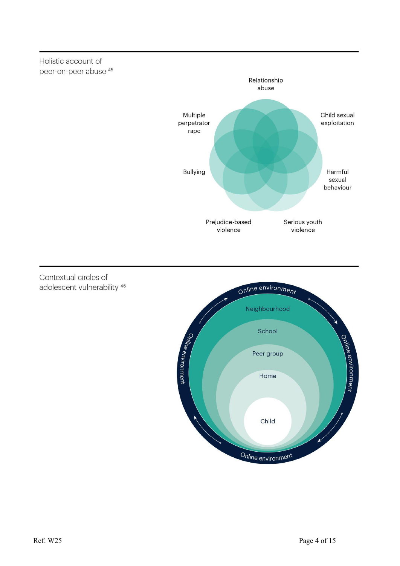Holistic account of peer-on-peer abuse<sup>45</sup>



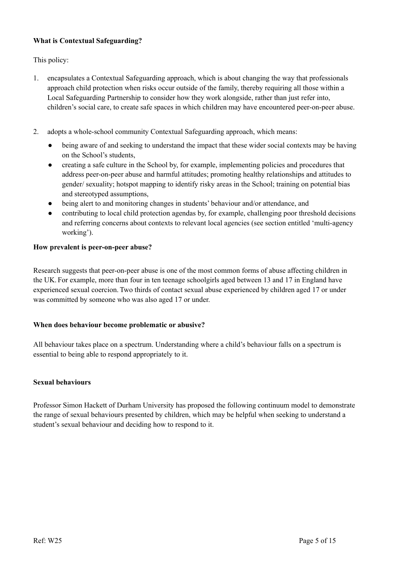# **What is Contextual Safeguarding?**

This policy:

- 1. encapsulates a Contextual Safeguarding approach, which is about changing the way that professionals approach child protection when risks occur outside of the family, thereby requiring all those within a Local Safeguarding Partnership to consider how they work alongside, rather than just refer into, children's social care, to create safe spaces in which children may have encountered peer-on-peer abuse.
- 2. adopts a whole-school community Contextual Safeguarding approach, which means:
	- being aware of and seeking to understand the impact that these wider social contexts may be having on the School's students,
	- creating a safe culture in the School by, for example, implementing policies and procedures that address peer-on-peer abuse and harmful attitudes; promoting healthy relationships and attitudes to gender/ sexuality; hotspot mapping to identify risky areas in the School; training on potential bias and stereotyped assumptions,
	- being alert to and monitoring changes in students' behaviour and/or attendance, and
	- contributing to local child protection agendas by, for example, challenging poor threshold decisions and referring concerns about contexts to relevant local agencies (see section entitled 'multi-agency working').

#### **How prevalent is peer-on-peer abuse?**

Research suggests that peer-on-peer abuse is one of the most common forms of abuse affecting children in the UK. For example, more than four in ten teenage schoolgirls aged between 13 and 17 in England have experienced sexual coercion.Two thirds of contact sexual abuse experienced by children aged 17 or under was committed by someone who was also aged 17 or under.

#### **When does behaviour become problematic or abusive?**

All behaviour takes place on a spectrum. Understanding where a child's behaviour falls on a spectrum is essential to being able to respond appropriately to it.

#### **Sexual behaviours**

Professor Simon Hackett of Durham University has proposed the following continuum model to demonstrate the range of sexual behaviours presented by children, which may be helpful when seeking to understand a student's sexual behaviour and deciding how to respond to it.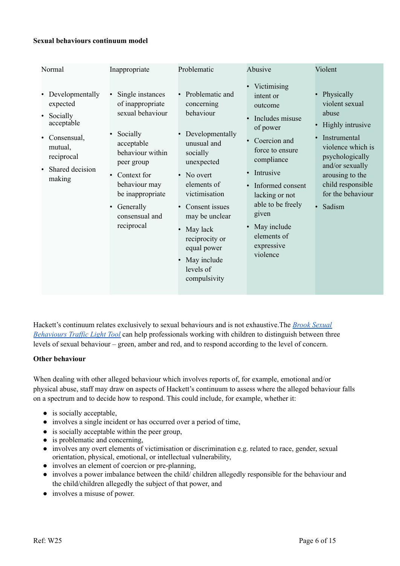#### **Sexual behaviours continuum model**

| Normal                                                                                                                                                                         | Inappropriate                                                                                                                                                                                                                                                             | Problematic                                                                                                                                                                                                                                                                                                            | Abusive                                                                                                                                                                                                                                                                                                          | Violent                                                                                                                                                                                                                                              |
|--------------------------------------------------------------------------------------------------------------------------------------------------------------------------------|---------------------------------------------------------------------------------------------------------------------------------------------------------------------------------------------------------------------------------------------------------------------------|------------------------------------------------------------------------------------------------------------------------------------------------------------------------------------------------------------------------------------------------------------------------------------------------------------------------|------------------------------------------------------------------------------------------------------------------------------------------------------------------------------------------------------------------------------------------------------------------------------------------------------------------|------------------------------------------------------------------------------------------------------------------------------------------------------------------------------------------------------------------------------------------------------|
| Developmentally<br>$\bullet$<br>expected<br>Socially<br>$\bullet$<br>acceptable<br>Consensual,<br>$\bullet$<br>mutual,<br>reciprocal<br>Shared decision<br>$\bullet$<br>making | Single instances<br>$\bullet$<br>of inappropriate<br>sexual behaviour<br>Socially<br>$\bullet$<br>acceptable<br>behaviour within<br>peer group<br>Context for<br>$\bullet$<br>behaviour may<br>be inappropriate<br>Generally<br>$\bullet$<br>consensual and<br>reciprocal | Problematic and<br>concerning<br>behaviour<br>Developmentally<br>unusual and<br>socially<br>unexpected<br>No overt<br>$\bullet$<br>elements of<br>victimisation<br>Consent issues<br>may be unclear<br>May lack<br>$\bullet$<br>reciprocity or<br>equal power<br>May include<br>$\bullet$<br>levels of<br>compulsivity | Victimising<br>$\bullet$<br>intent or<br>outcome<br>Includes misuse<br>$\bullet$<br>of power<br>Coercion and<br>force to ensure<br>compliance<br>Intrusive<br>$\bullet$<br>Informed consent<br>$\bullet$<br>lacking or not<br>able to be freely<br>given<br>May include<br>elements of<br>expressive<br>violence | Physically<br>$\bullet$<br>violent sexual<br>abuse<br>Highly intrusive<br>$\bullet$<br>Instrumental<br>$\bullet$<br>violence which is<br>psychologically<br>and/or sexually<br>arousing to the<br>child responsible<br>for the behaviour<br>· Sadism |
|                                                                                                                                                                                |                                                                                                                                                                                                                                                                           |                                                                                                                                                                                                                                                                                                                        |                                                                                                                                                                                                                                                                                                                  |                                                                                                                                                                                                                                                      |

Hackett's continuum relates exclusively to sexual behaviours and is not exhaustive.The *Brook [Sexual](https://www.enhertsccg.nhs.uk/sites/default/files/Sexual-Behaviours-Traffic-Light-Tool.pdf) [Behaviours](https://www.enhertsccg.nhs.uk/sites/default/files/Sexual-Behaviours-Traffic-Light-Tool.pdf) Traffic Light Tool* can help professionals working with children to distinguish between three levels of sexual behaviour – green, amber and red, and to respond according to the level of concern.

#### **Other behaviour**

When dealing with other alleged behaviour which involves reports of, for example, emotional and/or physical abuse, staff may draw on aspects of Hackett's continuum to assess where the alleged behaviour falls on a spectrum and to decide how to respond. This could include, for example, whether it:

- is socially acceptable,
- involves a single incident or has occurred over a period of time,
- is socially acceptable within the peer group,
- is problematic and concerning,
- involves any overt elements of victimisation or discrimination e.g. related to race, gender, sexual orientation, physical, emotional, or intellectual vulnerability,
- involves an element of coercion or pre-planning,
- involves a power imbalance between the child/ children allegedly responsible for the behaviour and the child/children allegedly the subject of that power, and
- involves a misuse of power.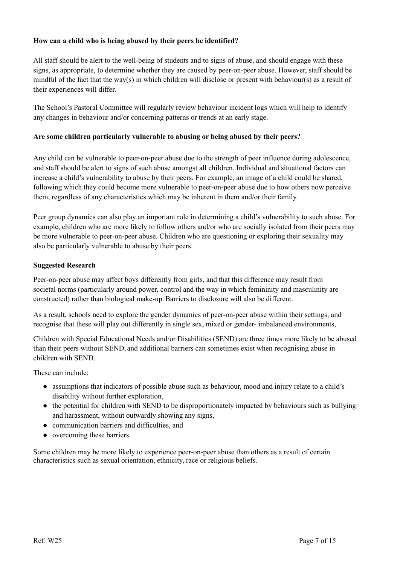## **How can a child who is being abused by their peers be identified?**

All staff should be alert to the well-being of students and to signs of abuse, and should engage with these signs, as appropriate, to determine whether they are caused by peer-on-peer abuse. However, staff should be mindful of the fact that the way(s) in which children will disclose or present with behaviour(s) as a result of their experiences will differ.

The School's Pastoral Committee will regularly review behaviour incident logs which will help to identify any changes in behaviour and/or concerning patterns or trends at an early stage.

#### **Are some children particularly vulnerable to abusing or being abused by their peers?**

Any child can be vulnerable to peer-on-peer abuse due to the strength of peer influence during adolescence, and staff should be alert to signs of such abuse amongst all children. Individual and situational factors can increase a child's vulnerability to abuse by their peers. For example, an image of a child could be shared, following which they could become more vulnerable to peer-on-peer abuse due to how others now perceive them, regardless of any characteristics which may be inherent in them and/or their family.

Peer group dynamics can also play an important role in determining a child's vulnerability to such abuse. For example, children who are more likely to follow others and/or who are socially isolated from their peers may be more vulnerable to peer-on-peer abuse. Children who are questioning or exploring their sexuality may also be particularly vulnerable to abuse by their peers.

#### **Suggested Research**

Peer-on-peer abuse may affect boys differently from girls, and that this difference may result from societal norms (particularly around power, control and the way in which femininity and masculinity are constructed) rather than biological make-up.Barriers to disclosure will also be different.

As a result, schools need to explore the gender dynamics of peer-on-peer abuse within their settings, and recognise that these will play out differently in single sex, mixed or gender- imbalanced environments,

Children with Special Educational Needs and/or Disabilities (SEND) are three times more likely to be abused than their peers without SEND, and additional barriers can sometimes exist when recognising abuse in children with SEND.

These can include:

- assumptions that indicators of possible abuse such as behaviour, mood and injury relate to a child's disability without further exploration,
- the potential for children with SEND to be disproportionately impacted by behaviours such as bullying and harassment, without outwardly showing any signs,
- communication barriers and difficulties, and
- overcoming these barriers.

Some children may be more likely to experience peer-on-peer abuse than others as a result of certain characteristics such as sexual orientation, ethnicity, race or religious beliefs.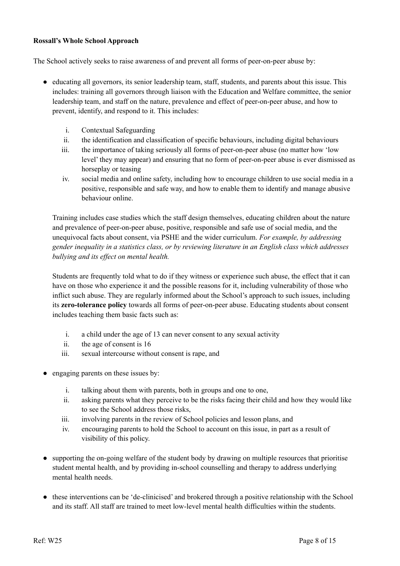#### **Rossall's Whole School Approach**

The School actively seeks to raise awareness of and prevent all forms of peer-on-peer abuse by:

- educating all governors, its senior leadership team, staff, students, and parents about this issue. This includes: training all governors through liaison with the Education and Welfare committee, the senior leadership team, and staff on the nature, prevalence and effect of peer-on-peer abuse, and how to prevent, identify, and respond to it. This includes:
	- i. Contextual Safeguarding
	- ii. the identification and classification of specific behaviours, including digital behaviours
	- iii. the importance of taking seriously all forms of peer-on-peer abuse (no matter how 'low level' they may appear) and ensuring that no form of peer-on-peer abuse is ever dismissed as horseplay or teasing
	- iv. social media and online safety, including how to encourage children to use social media in a positive, responsible and safe way, and how to enable them to identify and manage abusive behaviour online.

Training includes case studies which the staff design themselves, educating children about the nature and prevalence of peer-on-peer abuse, positive, responsible and safe use of social media, and the unequivocal facts about consent, via PSHE and the wider curriculum. *For example, by addressing gender inequality in a statistics class, or by reviewing literature in an English class which addresses bullying and its ef ect on mental health.*

Students are frequently told what to do if they witness or experience such abuse, the effect that it can have on those who experience it and the possible reasons for it, including vulnerability of those who inflict such abuse. They are regularly informed about the School's approach to such issues, including its **zero-tolerance policy** towards all forms of peer-on-peer abuse. Educating students about consent includes teaching them basic facts such as:

- i. a child under the age of 13 can never consent to any sexual activity
- ii. the age of consent is 16
- iii. sexual intercourse without consent is rape, and
- engaging parents on these issues by:
	- i. talking about them with parents, both in groups and one to one,
	- ii. asking parents what they perceive to be the risks facing their child and how they would like to see the School address those risks,
	- iii. involving parents in the review of School policies and lesson plans, and
	- iv. encouraging parents to hold the School to account on this issue, in part as a result of visibility of this policy.
- supporting the on-going welfare of the student body by drawing on multiple resources that prioritise student mental health, and by providing in-school counselling and therapy to address underlying mental health needs.
- these interventions can be 'de-clinicised' and brokered through a positive relationship with the School and its staff. All staff are trained to meet low-level mental health difficulties within the students.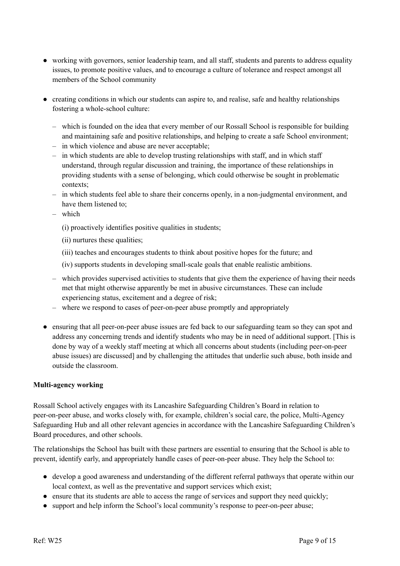- working with governors, senior leadership team, and all staff, students and parents to address equality issues, to promote positive values, and to encourage a culture of tolerance and respect amongst all members of the School community
- creating conditions in which our students can aspire to, and realise, safe and healthy relationships fostering a whole-school culture:
	- which is founded on the idea that every member of our Rossall School is responsible for building and maintaining safe and positive relationships, and helping to create a safe School environment;
	- in which violence and abuse are never acceptable;
	- in which students are able to develop trusting relationships with staff, and in which staff understand, through regular discussion and training, the importance of these relationships in providing students with a sense of belonging, which could otherwise be sought in problematic contexts;
	- in which students feel able to share their concerns openly, in a non-judgmental environment, and have them listened to;
	- which
		- (i) proactively identifies positive qualities in students;
		- (ii) nurtures these qualities;
		- (iii) teaches and encourages students to think about positive hopes for the future; and
		- (iv) supports students in developing small-scale goals that enable realistic ambitions.
	- which provides supervised activities to students that give them the experience of having their needs met that might otherwise apparently be met in abusive circumstances. These can include experiencing status, excitement and a degree of risk;
	- where we respond to cases of peer-on-peer abuse promptly and appropriately
- ensuring that all peer-on-peer abuse issues are fed back to our safeguarding team so they can spot and address any concerning trends and identify students who may be in need of additional support. [This is done by way of a weekly staff meeting at which all concerns about students (including peer-on-peer abuse issues) are discussed] and by challenging the attitudes that underlie such abuse, both inside and outside the classroom.

#### **Multi-agency working**

Rossall School actively engages with its Lancashire Safeguarding Children's Board in relation to peer-on-peer abuse, and works closely with, for example, children's social care, the police, Multi-Agency Safeguarding Hub and all other relevant agencies in accordance with the Lancashire Safeguarding Children's Board procedures, and other schools.

The relationships the School has built with these partners are essential to ensuring that the School is able to prevent, identify early, and appropriately handle cases of peer-on-peer abuse. They help the School to:

- develop a good awareness and understanding of the different referral pathways that operate within our local context, as well as the preventative and support services which exist;
- ensure that its students are able to access the range of services and support they need quickly;
- support and help inform the School's local community's response to peer-on-peer abuse;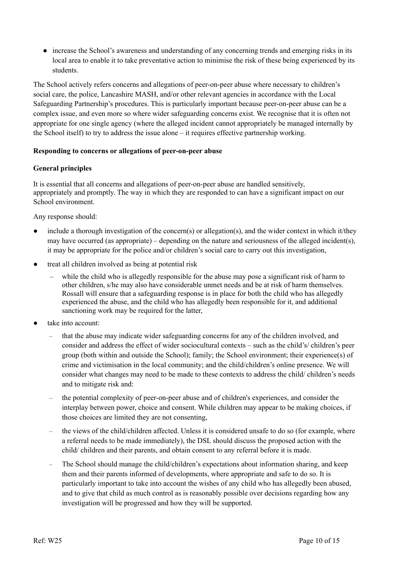● increase the School's awareness and understanding of any concerning trends and emerging risks in its local area to enable it to take preventative action to minimise the risk of these being experienced by its students.

The School actively refers concerns and allegations of peer-on-peer abuse where necessary to children's social care, the police, Lancashire MASH, and/or other relevant agencies in accordance with the Local Safeguarding Partnership's procedures. This is particularly important because peer-on-peer abuse can be a complex issue, and even more so where wider safeguarding concerns exist. We recognise that it is often not appropriate for one single agency (where the alleged incident cannot appropriately be managed internally by the School itself) to try to address the issue alone – it requires effective partnership working.

#### **Responding to concerns or allegations of peer-on-peer abuse**

# **General principles**

It is essential that all concerns and allegations of peer-on-peer abuse are handled sensitively, appropriately and promptly. The way in which they are responded to can have a significant impact on our School environment.

Any response should:

- include a thorough investigation of the concern(s) or allegation(s), and the wider context in which it/they may have occurred (as appropriate) – depending on the nature and seriousness of the alleged incident(s), it may be appropriate for the police and/or children's social care to carry out this investigation,
- treat all children involved as being at potential risk
	- ‒ while the child who is allegedly responsible for the abuse may pose a significant risk of harm to other children, s/he may also have considerable unmet needs and be at risk of harm themselves. Rossall will ensure that a safeguarding response is in place for both the child who has allegedly experienced the abuse, and the child who has allegedly been responsible for it, and additional sanctioning work may be required for the latter,
- take into account:
	- that the abuse may indicate wider safeguarding concerns for any of the children involved, and consider and address the effect of wider sociocultural contexts – such as the child's/ children's peer group (both within and outside the School); family; the School environment; their experience(s) of crime and victimisation in the local community; and the child/children's online presence. We will consider what changes may need to be made to these contexts to address the child/ children's needs and to mitigate risk and:
	- the potential complexity of peer-on-peer abuse and of children's experiences, and consider the interplay between power, choice and consent. While children may appear to be making choices, if those choices are limited they are not consenting,
	- the views of the child/children affected. Unless it is considered unsafe to do so (for example, where a referral needs to be made immediately), the DSL should discuss the proposed action with the child/ children and their parents, and obtain consent to any referral before it is made.
	- The School should manage the child/children's expectations about information sharing, and keep them and their parents informed of developments, where appropriate and safe to do so. It is particularly important to take into account the wishes of any child who has allegedly been abused, and to give that child as much control as is reasonably possible over decisions regarding how any investigation will be progressed and how they will be supported.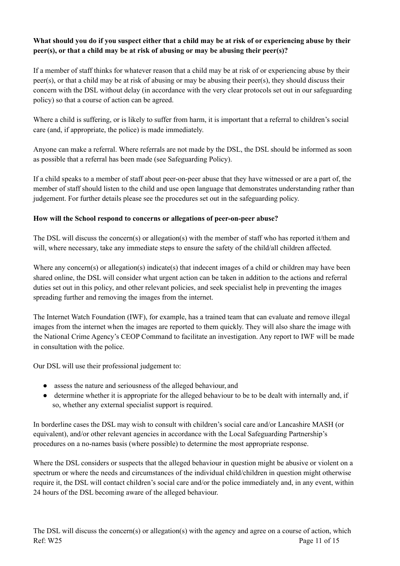# What should you do if you suspect either that a child may be at risk of or experiencing abuse by their **peer(s), or that a child may be at risk of abusing or may be abusing their peer(s)?**

If a member of staff thinks for whatever reason that a child may be at risk of or experiencing abuse by their peer(s), or that a child may be at risk of abusing or may be abusing their peer(s), they should discuss their concern with the DSL without delay (in accordance with the very clear protocols set out in our safeguarding policy) so that a course of action can be agreed.

Where a child is suffering, or is likely to suffer from harm, it is important that a referral to children's social care (and, if appropriate, the police) is made immediately.

Anyone can make a referral. Where referrals are not made by the DSL, the DSL should be informed as soon as possible that a referral has been made (see Safeguarding Policy).

If a child speaks to a member of staff about peer-on-peer abuse that they have witnessed or are a part of, the member of staff should listen to the child and use open language that demonstrates understanding rather than judgement. For further details please see the procedures set out in the safeguarding policy.

# **How will the School respond to concerns or allegations of peer-on-peer abuse?**

The DSL will discuss the concern(s) or allegation(s) with the member of staff who has reported it/them and will, where necessary, take any immediate steps to ensure the safety of the child/all children affected.

Where any concern(s) or allegation(s) indicate(s) that indecent images of a child or children may have been shared online, the DSL will consider what urgent action can be taken in addition to the actions and referral duties set out in this policy, and other relevant policies, and seek specialist help in preventing the images spreading further and removing the images from the internet.

The Internet Watch Foundation (IWF), for example, has a trained team that can evaluate and remove illegal images from the internet when the images are reported to them quickly. They will also share the image with the National Crime Agency's CEOP Command to facilitate an investigation. Any report to IWF will be made in consultation with the police.

Our DSL will use their professional judgement to:

- assess the nature and seriousness of the alleged behaviour, and
- determine whether it is appropriate for the alleged behaviour to be to be dealt with internally and, if so, whether any external specialist support is required.

In borderline cases the DSL may wish to consult with children's social care and/or Lancashire MASH (or equivalent), and/or other relevant agencies in accordance with the Local Safeguarding Partnership's procedures on a no-names basis (where possible) to determine the most appropriate response.

Where the DSL considers or suspects that the alleged behaviour in question might be abusive or violent on a spectrum or where the needs and circumstances of the individual child/children in question might otherwise require it, the DSL will contact children's social care and/or the police immediately and, in any event, within 24 hours of the DSL becoming aware of the alleged behaviour.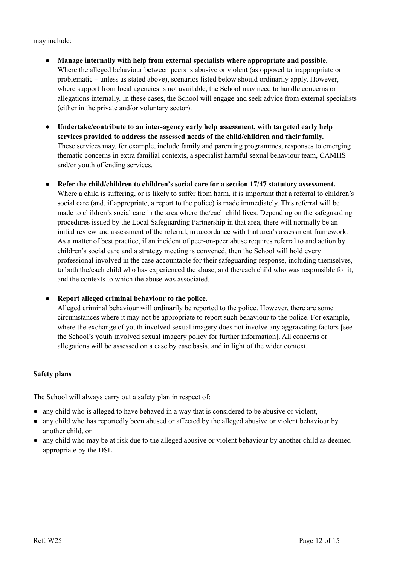may include:

- **● Manage internally with help from external specialists where appropriate and possible.** Where the alleged behaviour between peers is abusive or violent (as opposed to inappropriate or problematic – unless as stated above), scenarios listed below should ordinarily apply. However, where support from local agencies is not available, the School may need to handle concerns or allegations internally. In these cases, the School will engage and seek advice from external specialists (either in the private and/or voluntary sector).
- **Undertake/contribute to an inter-agency early help assessment, with targeted early help services provided to address the assessed needs of the child/children and their family.** These services may, for example, include family and parenting programmes, responses to emerging thematic concerns in extra familial contexts, a specialist harmful sexual behaviour team, CAMHS and/or youth offending services.
- **Refer the child/children to children's social care for a section 17/47 statutory assessment.** Where a child is suffering, or is likely to suffer from harm, it is important that a referral to children's social care (and, if appropriate, a report to the police) is made immediately. This referral will be made to children's social care in the area where the/each child lives. Depending on the safeguarding procedures issued by the Local Safeguarding Partnership in that area, there will normally be an initial review and assessment of the referral, in accordance with that area's assessment framework. As a matter of best practice, if an incident of peer-on-peer abuse requires referral to and action by children's social care and a strategy meeting is convened, then the School will hold every professional involved in the case accountable for their safeguarding response, including themselves, to both the/each child who has experienced the abuse, and the/each child who was responsible for it, and the contexts to which the abuse was associated.

#### ● **Report alleged criminal behaviour to the police.**

Alleged criminal behaviour will ordinarily be reported to the police. However, there are some circumstances where it may not be appropriate to report such behaviour to the police. For example, where the exchange of youth involved sexual imagery does not involve any aggravating factors [see the School's youth involved sexual imagery policy for further information]. All concerns or allegations will be assessed on a case by case basis, and in light of the wider context.

#### **Safety plans**

The School will always carry out a safety plan in respect of:

- any child who is alleged to have behaved in a way that is considered to be abusive or violent,
- any child who has reportedly been abused or affected by the alleged abusive or violent behaviour by another child, or
- any child who may be at risk due to the alleged abusive or violent behaviour by another child as deemed appropriate by the DSL.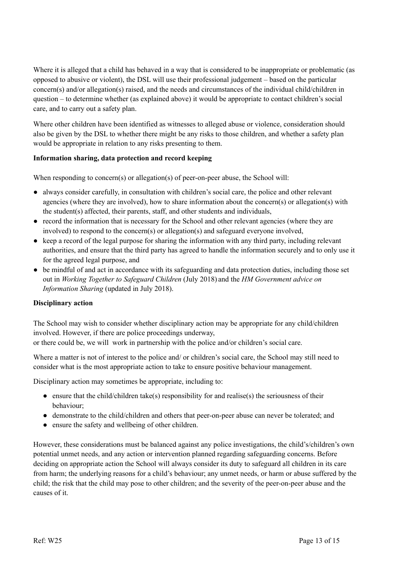Where it is alleged that a child has behaved in a way that is considered to be inappropriate or problematic (as opposed to abusive or violent), the DSL will use their professional judgement – based on the particular concern(s) and/or allegation(s) raised, and the needs and circumstances of the individual child/children in question – to determine whether (as explained above) it would be appropriate to contact children's social care, and to carry out a safety plan.

Where other children have been identified as witnesses to alleged abuse or violence, consideration should also be given by the DSL to whether there might be any risks to those children, and whether a safety plan would be appropriate in relation to any risks presenting to them.

#### **Information sharing, data protection and record keeping**

When responding to concern(s) or allegation(s) of peer-on-peer abuse, the School will:

- always consider carefully, in consultation with children's social care, the police and other relevant agencies (where they are involved), how to share information about the concern(s) or allegation(s) with the student(s) affected, their parents, staff, and other students and individuals,
- record the information that is necessary for the School and other relevant agencies (where they are involved) to respond to the concern(s) or allegation(s) and safeguard everyone involved,
- keep a record of the legal purpose for sharing the information with any third party, including relevant authorities, and ensure that the third party has agreed to handle the information securely and to only use it for the agreed legal purpose, and
- be mindful of and act in accordance with its safeguarding and data protection duties, including those set out in *Working Together to Safeguard Children* (July 2018) and the *HM Government advice on Information Sharing* (updated in July 2018).

#### **Disciplinary action**

The School may wish to consider whether disciplinary action may be appropriate for any child/children involved. However, if there are police proceedings underway,

or there could be, we will work in partnership with the police and/or children's social care.

Where a matter is not of interest to the police and/ or children's social care, the School may still need to consider what is the most appropriate action to take to ensure positive behaviour management.

Disciplinary action may sometimes be appropriate, including to:

- ensure that the child/children take(s) responsibility for and realise(s) the seriousness of their behaviour;
- demonstrate to the child/children and others that peer-on-peer abuse can never be tolerated; and
- ensure the safety and wellbeing of other children.

However, these considerations must be balanced against any police investigations, the child's/children's own potential unmet needs, and any action or intervention planned regarding safeguarding concerns. Before deciding on appropriate action the School will always consider its duty to safeguard all children in its care from harm; the underlying reasons for a child's behaviour; any unmet needs, or harm or abuse suffered by the child; the risk that the child may pose to other children; and the severity of the peer-on-peer abuse and the causes of it.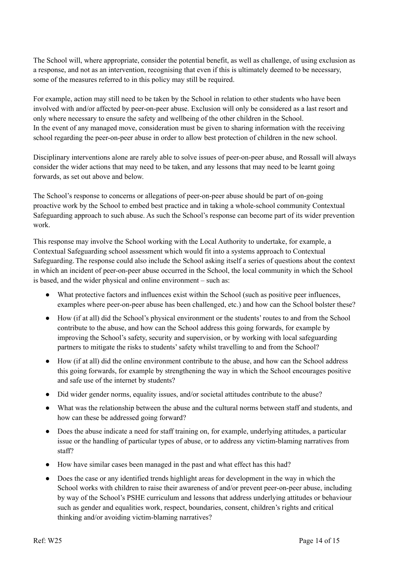The School will, where appropriate, consider the potential benefit, as well as challenge, of using exclusion as a response, and not as an intervention, recognising that even if this is ultimately deemed to be necessary, some of the measures referred to in this policy may still be required.

For example, action may still need to be taken by the School in relation to other students who have been involved with and/or affected by peer-on-peer abuse. Exclusion will only be considered as a last resort and only where necessary to ensure the safety and wellbeing of the other children in the School. In the event of any managed move, consideration must be given to sharing information with the receiving school regarding the peer-on-peer abuse in order to allow best protection of children in the new school.

Disciplinary interventions alone are rarely able to solve issues of peer-on-peer abuse, and Rossall will always consider the wider actions that may need to be taken, and any lessons that may need to be learnt going forwards, as set out above and below.

The School's response to concerns or allegations of peer-on-peer abuse should be part of on-going proactive work by the School to embed best practice and in taking a whole-school community Contextual Safeguarding approach to such abuse. As such the School's response can become part of its wider prevention work.

This response may involve the School working with the Local Authority to undertake, for example, a Contextual Safeguarding school assessment which would fit into a systems approach to Contextual Safeguarding.The response could also include the School asking itself a series of questions about the context in which an incident of peer-on-peer abuse occurred in the School, the local community in which the School is based, and the wider physical and online environment – such as:

- What protective factors and influences exist within the School (such as positive peer influences, examples where peer-on-peer abuse has been challenged, etc.) and how can the School bolster these?
- How (if at all) did the School's physical environment or the students' routes to and from the School contribute to the abuse, and how can the School address this going forwards, for example by improving the School's safety, security and supervision, or by working with local safeguarding partners to mitigate the risks to students' safety whilst travelling to and from the School?
- How (if at all) did the online environment contribute to the abuse, and how can the School address this going forwards, for example by strengthening the way in which the School encourages positive and safe use of the internet by students?
- Did wider gender norms, equality issues, and/or societal attitudes contribute to the abuse?
- What was the relationship between the abuse and the cultural norms between staff and students, and how can these be addressed going forward?
- Does the abuse indicate a need for staff training on, for example, underlying attitudes, a particular issue or the handling of particular types of abuse, or to address any victim-blaming narratives from staff?
- How have similar cases been managed in the past and what effect has this had?
- Does the case or any identified trends highlight areas for development in the way in which the School works with children to raise their awareness of and/or prevent peer-on-peer abuse, including by way of the School's PSHE curriculum and lessons that address underlying attitudes or behaviour such as gender and equalities work, respect, boundaries, consent, children's rights and critical thinking and/or avoiding victim-blaming narratives?